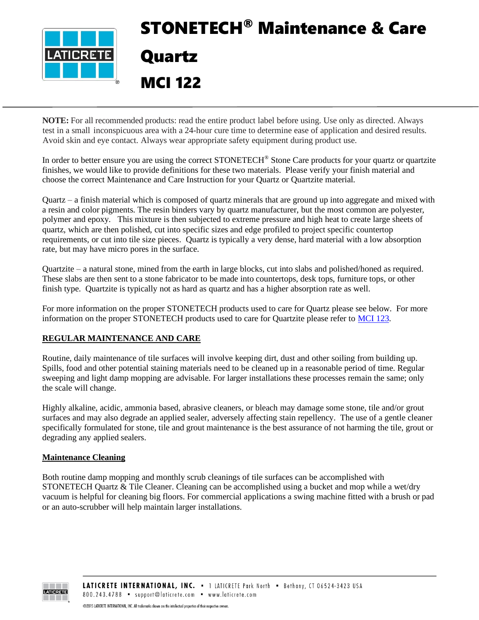

# STONETECH® Maintenance & Care Quartz MCI 122

**NOTE:** For all recommended products: read the entire product label before using. Use only as directed. Always test in a small inconspicuous area with a 24-hour cure time to determine ease of application and desired results. Avoid skin and eye contact. Always wear appropriate safety equipment during product use.

In order to better ensure you are using the correct STONETECH<sup>®</sup> Stone Care products for your quartz or quartzite finishes, we would like to provide definitions for these two materials. Please verify your finish material and choose the correct Maintenance and Care Instruction for your Quartz or Quartzite material.

Quartz – a finish material which is composed of quartz minerals that are ground up into aggregate and mixed with a resin and color pigments. The resin binders vary by quartz manufacturer, but the most common are polyester, polymer and epoxy. This mixture is then subjected to extreme pressure and high heat to create large sheets of quartz, which are then polished, cut into specific sizes and edge profiled to project specific countertop requirements, or cut into tile size pieces. Quartz is typically a very dense, hard material with a low absorption rate, but may have micro pores in the surface.

Quartzite – a natural stone, mined from the earth in large blocks, cut into slabs and polished/honed as required. These slabs are then sent to a stone fabricator to be made into countertops, desk tops, furniture tops, or other finish type. Quartzite is typically not as hard as quartz and has a higher absorption rate as well.

For more information on the proper STONETECH products used to care for Quartz please see below. For more information on the proper STONETECH products used to care for Quartzite please refer to [MCI 123.](https://cdn.laticrete.com/~/media/support-and-downloads/technical-datasheets/mci123.ashx)

### **REGULAR MAINTENANCE AND CARE**

 $\overline{a}$ 

Routine, daily maintenance of tile surfaces will involve keeping dirt, dust and other soiling from building up. Spills, food and other potential staining materials need to be cleaned up in a reasonable period of time. Regular sweeping and light damp mopping are advisable. For larger installations these processes remain the same; only the scale will change.

Highly alkaline, acidic, ammonia based, abrasive cleaners, or bleach may damage some stone, tile and/or grout surfaces and may also degrade an applied sealer, adversely affecting stain repellency. The use of a gentle cleaner specifically formulated for stone, tile and grout maintenance is the best assurance of not harming the tile, grout or degrading any applied sealers.

#### **Maintenance Cleaning**

Both routine damp mopping and monthly scrub cleanings of tile surfaces can be accomplished with STONETECH Quartz & Tile Cleaner. Cleaning can be accomplished using a bucket and mop while a wet/dry vacuum is helpful for cleaning big floors. For commercial applications a swing machine fitted with a brush or pad or an auto-scrubber will help maintain larger installations.

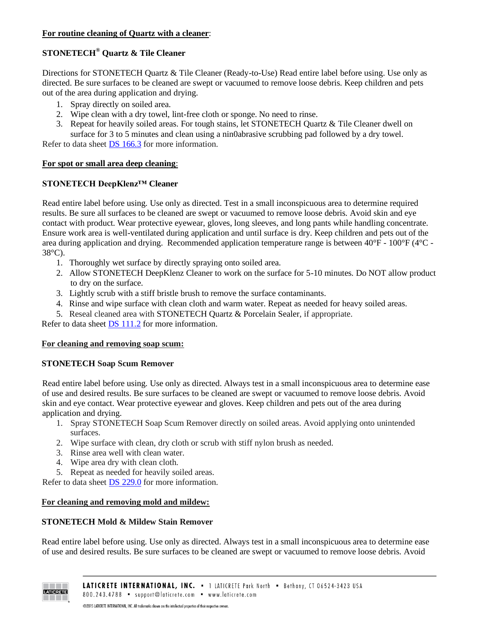# **STONETECH® Quartz & Tile Cleaner**

Directions for STONETECH Quartz & Tile Cleaner (Ready-to-Use) Read entire label before using. Use only as directed. Be sure surfaces to be cleaned are swept or vacuumed to remove loose debris. Keep children and pets out of the area during application and drying.

- 1. Spray directly on soiled area.
- 2. Wipe clean with a dry towel, lint-free cloth or sponge. No need to rinse.
- 3. Repeat for heavily soiled areas. For tough stains, let STONETECH Quartz & Tile Cleaner dwell on surface for 3 to 5 minutes and clean using a nin0abrasive scrubbing pad followed by a dry towel.

Refer to data sheet DS [166.3](https://cdn.laticrete.com/~/media/product-documents/product-data-sheets/ds-1663.ashx) for more information.

### **For spot or small area deep cleaning**:

### **STONETECH DeepKlenz™ Cleaner**

Read entire label before using. Use only as directed. Test in a small inconspicuous area to determine required results. Be sure all surfaces to be cleaned are swept or vacuumed to remove loose debris. Avoid skin and eye contact with product. Wear protective eyewear, gloves, long sleeves, and long pants while handling concentrate. Ensure work area is well-ventilated during application and until surface is dry. Keep children and pets out of the area during application and drying. Recommended application temperature range is between 40°F - 100°F (4°C - 38°C).

- 1. Thoroughly wet surface by directly spraying onto soiled area.
- 2. Allow STONETECH DeepKlenz Cleaner to work on the surface for 5-10 minutes. Do NOT allow product to dry on the surface.
- 3. Lightly scrub with a stiff bristle brush to remove the surface contaminants.
- 4. Rinse and wipe surface with clean cloth and warm water. Repeat as needed for heavy soiled areas.
- 5. Reseal cleaned area with STONETECH Quartz & Porcelain Sealer, if appropriate.

Refer to data sheet **DS** [111.2](https://cdn.laticrete.com/~/media/product-documents/product-data-sheets/ds-1112.ashx) for more information.

### **For cleaning and removing soap scum:**

### **STONETECH Soap Scum Remover**

Read entire label before using. Use only as directed. Always test in a small inconspicuous area to determine ease of use and desired results. Be sure surfaces to be cleaned are swept or vacuumed to remove loose debris. Avoid skin and eye contact. Wear protective eyewear and gloves. Keep children and pets out of the area during application and drying.

- 1. Spray STONETECH Soap Scum Remover directly on soiled areas. Avoid applying onto unintended surfaces.
- 2. Wipe surface with clean, dry cloth or scrub with stiff nylon brush as needed.
- 3. Rinse area well with clean water.
- 4. Wipe area dry with clean cloth.
- 5. Repeat as needed for heavily soiled areas.

Refer to data sheet DS [229.0](https://cdn.laticrete.com/~/media/product-documents/product-data-sheets/ds-229.ashx) for more information.

### **For cleaning and removing mold and mildew:**

### **STONETECH Mold & Mildew Stain Remover**

Read entire label before using. Use only as directed. Always test in a small inconspicuous area to determine ease of use and desired results. Be sure surfaces to be cleaned are swept or vacuumed to remove loose debris. Avoid